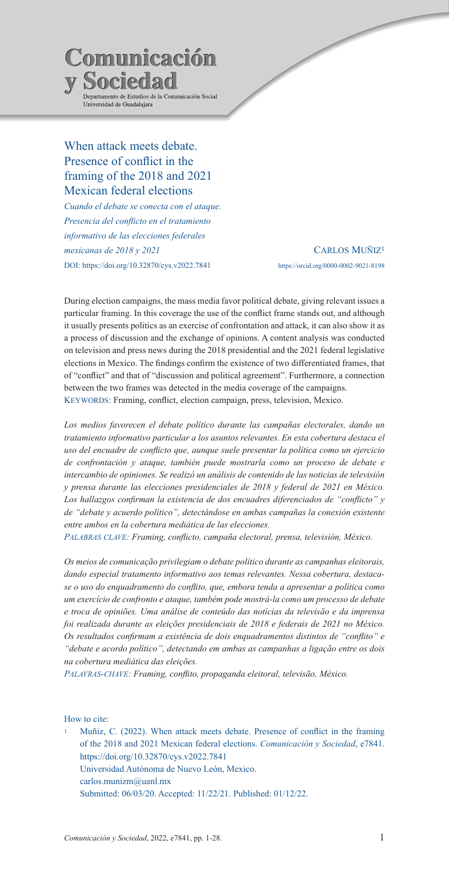

# When attack meets debate. Presence of conflict in the framing of the 2018 and 2021 Mexican federal elections

*Cuando el debate se conecta con el ataque. Presencia del conflicto en el tratamiento informativo de las elecciones federales mexicanas de 2018 y 2021* DOI: https://doi.org/10.32870/cys.v2022.7841

Carlos Muñiz1 https://orcid.org/0000-0002-9021-8198

During election campaigns, the mass media favor political debate, giving relevant issues a particular framing. In this coverage the use of the conflict frame stands out, and although it usually presents politics as an exercise of confrontation and attack, it can also show it as a process of discussion and the exchange of opinions. A content analysis was conducted on television and press news during the 2018 presidential and the 2021 federal legislative elections in Mexico. The findings confirm the existence of two differentiated frames, that of "conflict" and that of "discussion and political agreement". Furthermore, a connection between the two frames was detected in the media coverage of the campaigns. KEYWORDS: Framing, conflict, election campaign, press, television, Mexico.

*Los medios favorecen el debate político durante las campañas electorales, dando un tratamiento informativo particular a los asuntos relevantes. En esta cobertura destaca el uso del encuadre de conflicto que, aunque suele presentar la política como un ejercicio de confrontación y ataque, también puede mostrarla como un proceso de debate e intercambio de opiniones. Se realizó un análisis de contenido de las noticias de televisión y prensa durante las elecciones presidenciales de 2018 y federal de 2021 en México. Los hallazgos confirman la existencia de dos encuadres diferenciados de "conflicto" y de "debate y acuerdo político", detectándose en ambas campañas la conexión existente entre ambos en la cobertura mediática de las elecciones.*

*Palabras clave: Framing, conflicto, campaña electoral, prensa, televisión, México.*

*Os meios de comunicação privilegiam o debate político durante as campanhas eleitorais, dando especial tratamento informativo aos temas relevantes. Nessa cobertura, destacase o uso do enquadramento do conflito, que, embora tenda a apresentar a política como um exercício de confronto e ataque, também pode mostrá-la como um processo de debate e troca de opiniões. Uma análise de conteúdo das notícias da televisão e da imprensa foi realizada durante as eleições presidenciais de 2018 e federais de 2021 no México. Os resultados confirmam a existência de dois enquadramentos distintos de "conflito" e "debate e acordo político", detectando em ambas as campanhas a ligação entre os dois na cobertura mediática das eleições.*

*Palavras-chave: Framing, conflito, propaganda eleitoral, televisão, México.*

How to cite:

<sup>1</sup> Muñiz, C. (2022). When attack meets debate. Presence of conflict in the framing of the 2018 and 2021 Mexican federal elections. *Comunicación y Sociedad*, e7841. https://doi.org/10.32870/cys.v2022.7841 Universidad Autónoma de Nuevo León, Mexico. carlos.munizm@uanl.mx Submitted: 06/03/20. Accepted: 11/22/21. Published: 01/12/22.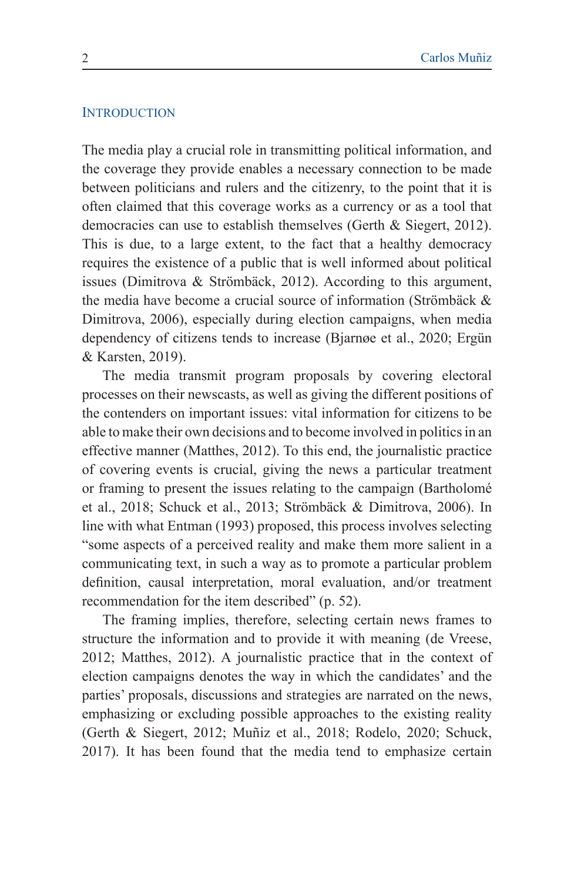#### **INTRODUCTION**

The media play a crucial role in transmitting political information, and the coverage they provide enables a necessary connection to be made between politicians and rulers and the citizenry, to the point that it is often claimed that this coverage works as a currency or as a tool that democracies can use to establish themselves (Gerth & Siegert, 2012). This is due, to a large extent, to the fact that a healthy democracy requires the existence of a public that is well informed about political issues (Dimitrova & Strömbäck, 2012). According to this argument, the media have become a crucial source of information (Strömbäck & Dimitrova, 2006), especially during election campaigns, when media dependency of citizens tends to increase (Bjarnøe et al., 2020; Ergün & Karsten, 2019).

The media transmit program proposals by covering electoral processes on their newscasts, as well as giving the different positions of the contenders on important issues: vital information for citizens to be able to make their own decisions and to become involved in politics in an effective manner (Matthes, 2012). To this end, the journalistic practice of covering events is crucial, giving the news a particular treatment or framing to present the issues relating to the campaign (Bartholomé et al., 2018; Schuck et al., 2013; Strömbäck & Dimitrova, 2006). In line with what Entman (1993) proposed, this process involves selecting "some aspects of a perceived reality and make them more salient in a communicating text, in such a way as to promote a particular problem definition, causal interpretation, moral evaluation, and/or treatment recommendation for the item described" (p. 52).

The framing implies, therefore, selecting certain news frames to structure the information and to provide it with meaning (de Vreese, 2012; Matthes, 2012). A journalistic practice that in the context of election campaigns denotes the way in which the candidates' and the parties' proposals, discussions and strategies are narrated on the news, emphasizing or excluding possible approaches to the existing reality (Gerth & Siegert, 2012; Muñiz et al., 2018; Rodelo, 2020; Schuck, 2017). It has been found that the media tend to emphasize certain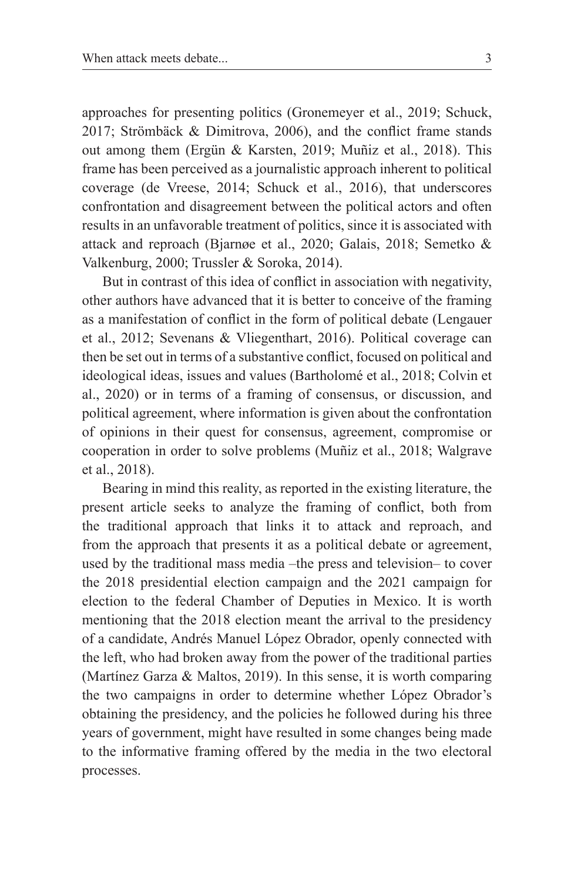approaches for presenting politics (Gronemeyer et al., 2019; Schuck, 2017; Strömbäck & Dimitrova, 2006), and the conflict frame stands out among them (Ergün & Karsten, 2019; Muñiz et al., 2018). This frame has been perceived as a journalistic approach inherent to political coverage (de Vreese, 2014; Schuck et al., 2016), that underscores confrontation and disagreement between the political actors and often results in an unfavorable treatment of politics, since it is associated with attack and reproach (Bjarnøe et al., 2020; Galais, 2018; Semetko & Valkenburg, 2000; Trussler & Soroka, 2014).

But in contrast of this idea of conflict in association with negativity, other authors have advanced that it is better to conceive of the framing as a manifestation of conflict in the form of political debate (Lengauer et al., 2012; Sevenans & Vliegenthart, 2016). Political coverage can then be set out in terms of a substantive conflict, focused on political and ideological ideas, issues and values (Bartholomé et al., 2018; Colvin et al., 2020) or in terms of a framing of consensus, or discussion, and political agreement, where information is given about the confrontation of opinions in their quest for consensus, agreement, compromise or cooperation in order to solve problems (Muñiz et al., 2018; Walgrave et al., 2018).

Bearing in mind this reality, as reported in the existing literature, the present article seeks to analyze the framing of conflict, both from the traditional approach that links it to attack and reproach, and from the approach that presents it as a political debate or agreement, used by the traditional mass media –the press and television– to cover the 2018 presidential election campaign and the 2021 campaign for election to the federal Chamber of Deputies in Mexico. It is worth mentioning that the 2018 election meant the arrival to the presidency of a candidate, Andrés Manuel López Obrador, openly connected with the left, who had broken away from the power of the traditional parties (Martínez Garza & Maltos, 2019). In this sense, it is worth comparing the two campaigns in order to determine whether López Obrador's obtaining the presidency, and the policies he followed during his three years of government, might have resulted in some changes being made to the informative framing offered by the media in the two electoral processes.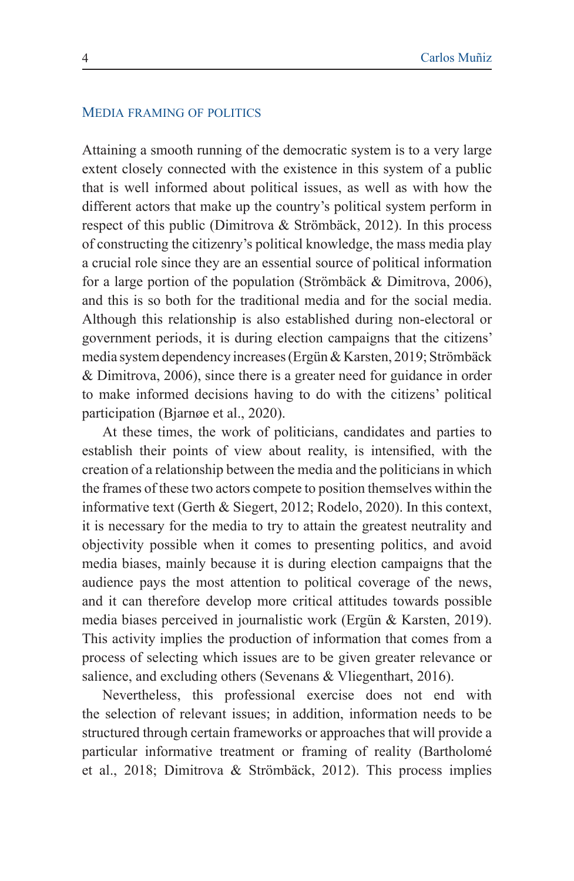#### Media framing of politics

Attaining a smooth running of the democratic system is to a very large extent closely connected with the existence in this system of a public that is well informed about political issues, as well as with how the different actors that make up the country's political system perform in respect of this public (Dimitrova & Strömbäck, 2012). In this process of constructing the citizenry's political knowledge, the mass media play a crucial role since they are an essential source of political information for a large portion of the population (Strömbäck & Dimitrova, 2006), and this is so both for the traditional media and for the social media. Although this relationship is also established during non-electoral or government periods, it is during election campaigns that the citizens' media system dependency increases (Ergün & Karsten, 2019; Strömbäck & Dimitrova, 2006), since there is a greater need for guidance in order to make informed decisions having to do with the citizens' political participation (Bjarnøe et al., 2020).

At these times, the work of politicians, candidates and parties to establish their points of view about reality, is intensified, with the creation of a relationship between the media and the politicians in which the frames of these two actors compete to position themselves within the informative text (Gerth & Siegert, 2012; Rodelo, 2020). In this context, it is necessary for the media to try to attain the greatest neutrality and objectivity possible when it comes to presenting politics, and avoid media biases, mainly because it is during election campaigns that the audience pays the most attention to political coverage of the news, and it can therefore develop more critical attitudes towards possible media biases perceived in journalistic work (Ergün & Karsten, 2019). This activity implies the production of information that comes from a process of selecting which issues are to be given greater relevance or salience, and excluding others (Sevenans & Vliegenthart, 2016).

Nevertheless, this professional exercise does not end with the selection of relevant issues; in addition, information needs to be structured through certain frameworks or approaches that will provide a particular informative treatment or framing of reality (Bartholomé et al., 2018; Dimitrova & Strömbäck, 2012). This process implies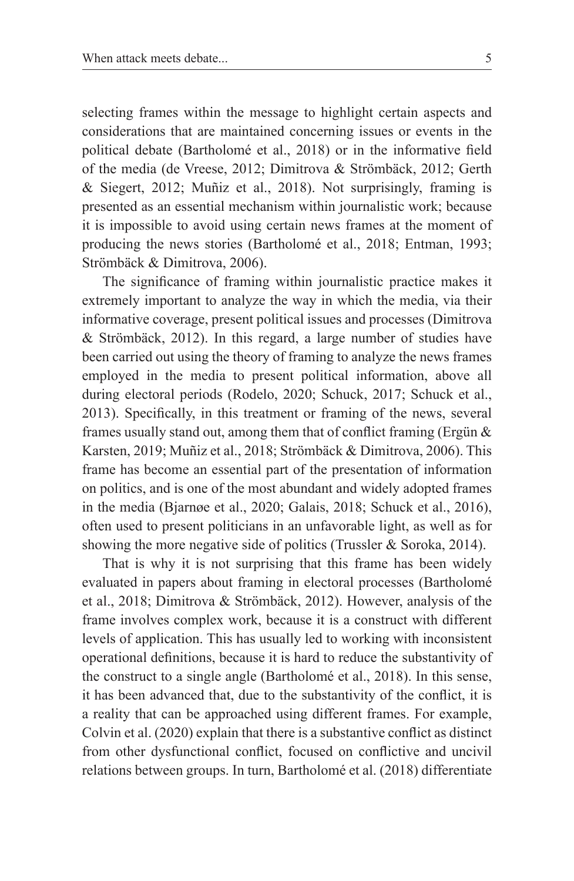selecting frames within the message to highlight certain aspects and considerations that are maintained concerning issues or events in the political debate (Bartholomé et al., 2018) or in the informative field of the media (de Vreese, 2012; Dimitrova & Strömbäck, 2012; Gerth & Siegert, 2012; Muñiz et al., 2018). Not surprisingly, framing is presented as an essential mechanism within journalistic work; because it is impossible to avoid using certain news frames at the moment of producing the news stories (Bartholomé et al., 2018; Entman, 1993; Strömbäck & Dimitrova, 2006).

The significance of framing within journalistic practice makes it extremely important to analyze the way in which the media, via their informative coverage, present political issues and processes (Dimitrova & Strömbäck, 2012). In this regard, a large number of studies have been carried out using the theory of framing to analyze the news frames employed in the media to present political information, above all during electoral periods (Rodelo, 2020; Schuck, 2017; Schuck et al., 2013). Specifically, in this treatment or framing of the news, several frames usually stand out, among them that of conflict framing (Ergün & Karsten, 2019; Muñiz et al., 2018; Strömbäck & Dimitrova, 2006). This frame has become an essential part of the presentation of information on politics, and is one of the most abundant and widely adopted frames in the media (Bjarnøe et al., 2020; Galais, 2018; Schuck et al., 2016), often used to present politicians in an unfavorable light, as well as for showing the more negative side of politics (Trussler & Soroka, 2014).

That is why it is not surprising that this frame has been widely evaluated in papers about framing in electoral processes (Bartholomé et al., 2018; Dimitrova & Strömbäck, 2012). However, analysis of the frame involves complex work, because it is a construct with different levels of application. This has usually led to working with inconsistent operational definitions, because it is hard to reduce the substantivity of the construct to a single angle (Bartholomé et al., 2018). In this sense, it has been advanced that, due to the substantivity of the conflict, it is a reality that can be approached using different frames. For example, Colvin et al. (2020) explain that there is a substantive conflict as distinct from other dysfunctional conflict, focused on conflictive and uncivil relations between groups. In turn, Bartholomé et al. (2018) differentiate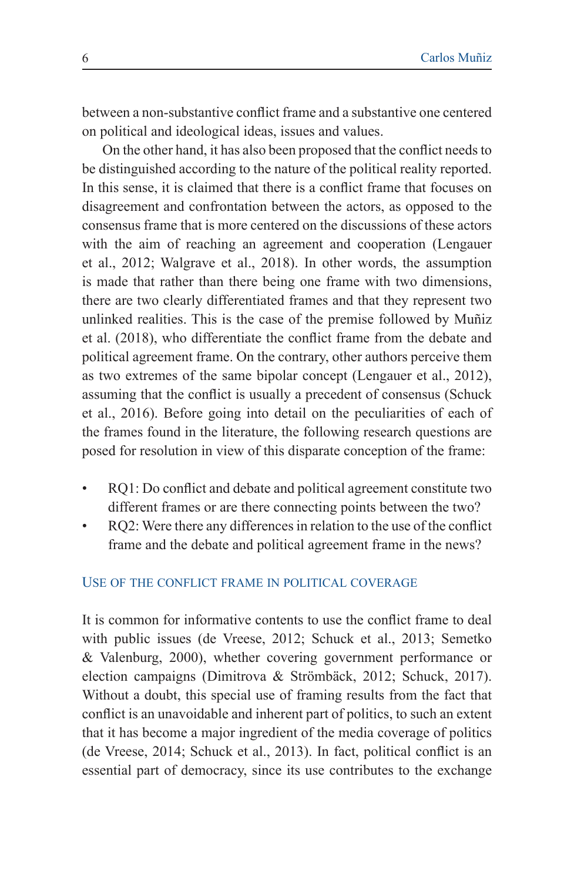between a non-substantive conflict frame and a substantive one centered on political and ideological ideas, issues and values.

On the other hand, it has also been proposed that the conflict needs to be distinguished according to the nature of the political reality reported. In this sense, it is claimed that there is a conflict frame that focuses on disagreement and confrontation between the actors, as opposed to the consensus frame that is more centered on the discussions of these actors with the aim of reaching an agreement and cooperation (Lengauer et al., 2012; Walgrave et al., 2018). In other words, the assumption is made that rather than there being one frame with two dimensions, there are two clearly differentiated frames and that they represent two unlinked realities. This is the case of the premise followed by Muñiz et al. (2018), who differentiate the conflict frame from the debate and political agreement frame. On the contrary, other authors perceive them as two extremes of the same bipolar concept (Lengauer et al., 2012), assuming that the conflict is usually a precedent of consensus (Schuck et al., 2016). Before going into detail on the peculiarities of each of the frames found in the literature, the following research questions are posed for resolution in view of this disparate conception of the frame:

- RQ1: Do conflict and debate and political agreement constitute two different frames or are there connecting points between the two?
- RQ2: Were there any differences in relation to the use of the conflict frame and the debate and political agreement frame in the news?

### Use of the conflict frame in political coverage

It is common for informative contents to use the conflict frame to deal with public issues (de Vreese, 2012; Schuck et al., 2013; Semetko & Valenburg, 2000), whether covering government performance or election campaigns (Dimitrova & Strömbäck, 2012; Schuck, 2017). Without a doubt, this special use of framing results from the fact that conflict is an unavoidable and inherent part of politics, to such an extent that it has become a major ingredient of the media coverage of politics (de Vreese, 2014; Schuck et al., 2013). In fact, political conflict is an essential part of democracy, since its use contributes to the exchange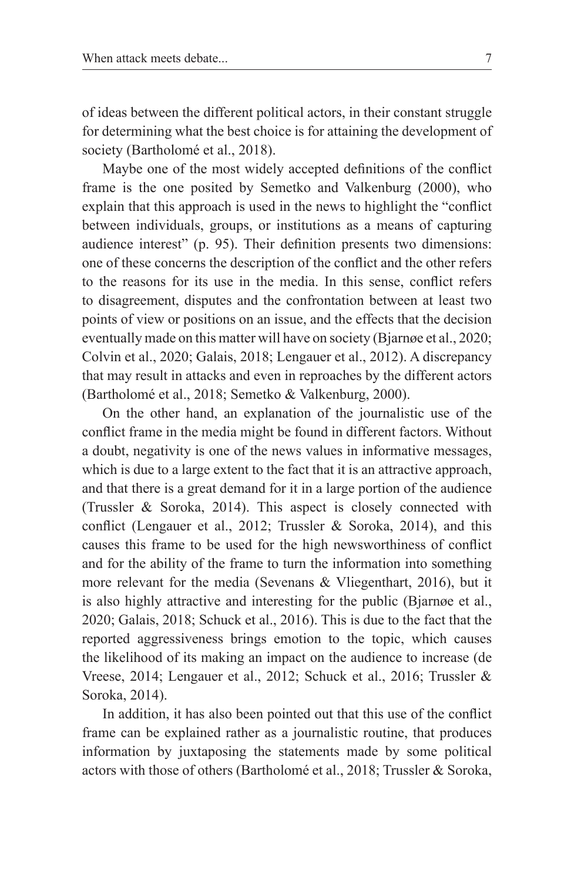of ideas between the different political actors, in their constant struggle for determining what the best choice is for attaining the development of society (Bartholomé et al., 2018).

Maybe one of the most widely accepted definitions of the conflict frame is the one posited by Semetko and Valkenburg (2000), who explain that this approach is used in the news to highlight the "conflict between individuals, groups, or institutions as a means of capturing audience interest" (p. 95). Their definition presents two dimensions: one of these concerns the description of the conflict and the other refers to the reasons for its use in the media. In this sense, conflict refers to disagreement, disputes and the confrontation between at least two points of view or positions on an issue, and the effects that the decision eventually made on this matter will have on society (Bjarnøe et al., 2020; Colvin et al., 2020; Galais, 2018; Lengauer et al., 2012). A discrepancy that may result in attacks and even in reproaches by the different actors (Bartholomé et al., 2018; Semetko & Valkenburg, 2000).

On the other hand, an explanation of the journalistic use of the conflict frame in the media might be found in different factors. Without a doubt, negativity is one of the news values in informative messages, which is due to a large extent to the fact that it is an attractive approach, and that there is a great demand for it in a large portion of the audience (Trussler & Soroka, 2014). This aspect is closely connected with conflict (Lengauer et al., 2012; Trussler & Soroka, 2014), and this causes this frame to be used for the high newsworthiness of conflict and for the ability of the frame to turn the information into something more relevant for the media (Sevenans & Vliegenthart, 2016), but it is also highly attractive and interesting for the public (Bjarnøe et al., 2020; Galais, 2018; Schuck et al., 2016). This is due to the fact that the reported aggressiveness brings emotion to the topic, which causes the likelihood of its making an impact on the audience to increase (de Vreese, 2014; Lengauer et al., 2012; Schuck et al., 2016; Trussler & Soroka, 2014).

In addition, it has also been pointed out that this use of the conflict frame can be explained rather as a journalistic routine, that produces information by juxtaposing the statements made by some political actors with those of others (Bartholomé et al., 2018; Trussler & Soroka,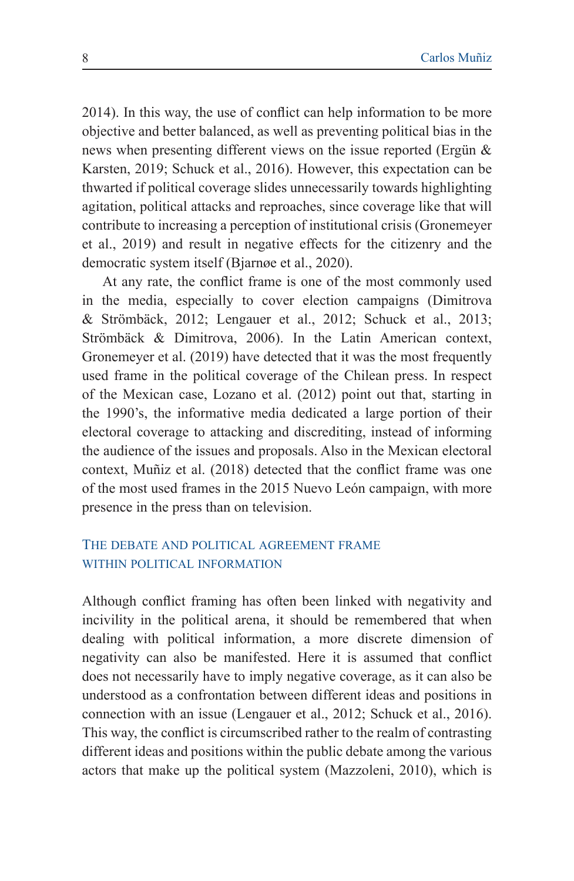2014). In this way, the use of conflict can help information to be more objective and better balanced, as well as preventing political bias in the news when presenting different views on the issue reported (Ergün & Karsten, 2019; Schuck et al., 2016). However, this expectation can be thwarted if political coverage slides unnecessarily towards highlighting agitation, political attacks and reproaches, since coverage like that will contribute to increasing a perception of institutional crisis (Gronemeyer et al., 2019) and result in negative effects for the citizenry and the democratic system itself (Bjarnøe et al., 2020).

At any rate, the conflict frame is one of the most commonly used in the media, especially to cover election campaigns (Dimitrova & Strömbäck, 2012; Lengauer et al., 2012; Schuck et al., 2013; Strömbäck & Dimitrova, 2006). In the Latin American context, Gronemeyer et al. (2019) have detected that it was the most frequently used frame in the political coverage of the Chilean press. In respect of the Mexican case, Lozano et al. (2012) point out that, starting in the 1990's, the informative media dedicated a large portion of their electoral coverage to attacking and discrediting, instead of informing the audience of the issues and proposals. Also in the Mexican electoral context, Muñiz et al. (2018) detected that the conflict frame was one of the most used frames in the 2015 Nuevo León campaign, with more presence in the press than on television.

## The debate and political agreement frame WITHIN POLITICAL INFORMATION

Although conflict framing has often been linked with negativity and incivility in the political arena, it should be remembered that when dealing with political information, a more discrete dimension of negativity can also be manifested. Here it is assumed that conflict does not necessarily have to imply negative coverage, as it can also be understood as a confrontation between different ideas and positions in connection with an issue (Lengauer et al., 2012; Schuck et al., 2016). This way, the conflict is circumscribed rather to the realm of contrasting different ideas and positions within the public debate among the various actors that make up the political system (Mazzoleni, 2010), which is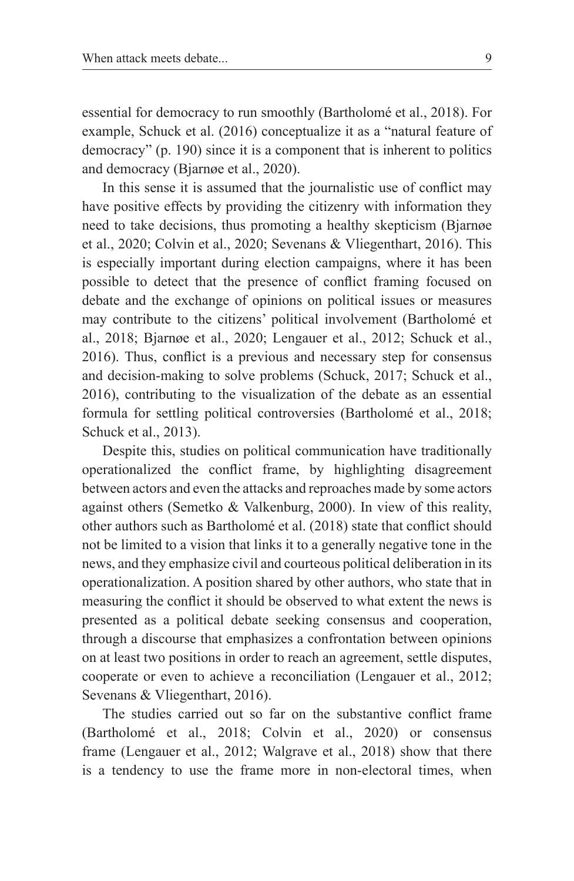essential for democracy to run smoothly (Bartholomé et al., 2018). For example, Schuck et al. (2016) conceptualize it as a "natural feature of democracy" (p. 190) since it is a component that is inherent to politics and democracy (Bjarnøe et al., 2020).

In this sense it is assumed that the journalistic use of conflict may have positive effects by providing the citizenry with information they need to take decisions, thus promoting a healthy skepticism (Bjarnøe et al., 2020; Colvin et al., 2020; Sevenans & Vliegenthart, 2016). This is especially important during election campaigns, where it has been possible to detect that the presence of conflict framing focused on debate and the exchange of opinions on political issues or measures may contribute to the citizens' political involvement (Bartholomé et al., 2018; Bjarnøe et al., 2020; Lengauer et al., 2012; Schuck et al., 2016). Thus, conflict is a previous and necessary step for consensus and decision-making to solve problems (Schuck, 2017; Schuck et al., 2016), contributing to the visualization of the debate as an essential formula for settling political controversies (Bartholomé et al., 2018; Schuck et al., 2013).

Despite this, studies on political communication have traditionally operationalized the conflict frame, by highlighting disagreement between actors and even the attacks and reproaches made by some actors against others (Semetko & Valkenburg, 2000). In view of this reality, other authors such as Bartholomé et al. (2018) state that conflict should not be limited to a vision that links it to a generally negative tone in the news, and they emphasize civil and courteous political deliberation in its operationalization. A position shared by other authors, who state that in measuring the conflict it should be observed to what extent the news is presented as a political debate seeking consensus and cooperation, through a discourse that emphasizes a confrontation between opinions on at least two positions in order to reach an agreement, settle disputes, cooperate or even to achieve a reconciliation (Lengauer et al., 2012; Sevenans & Vliegenthart, 2016).

The studies carried out so far on the substantive conflict frame (Bartholomé et al., 2018; Colvin et al., 2020) or consensus frame (Lengauer et al., 2012; Walgrave et al., 2018) show that there is a tendency to use the frame more in non-electoral times, when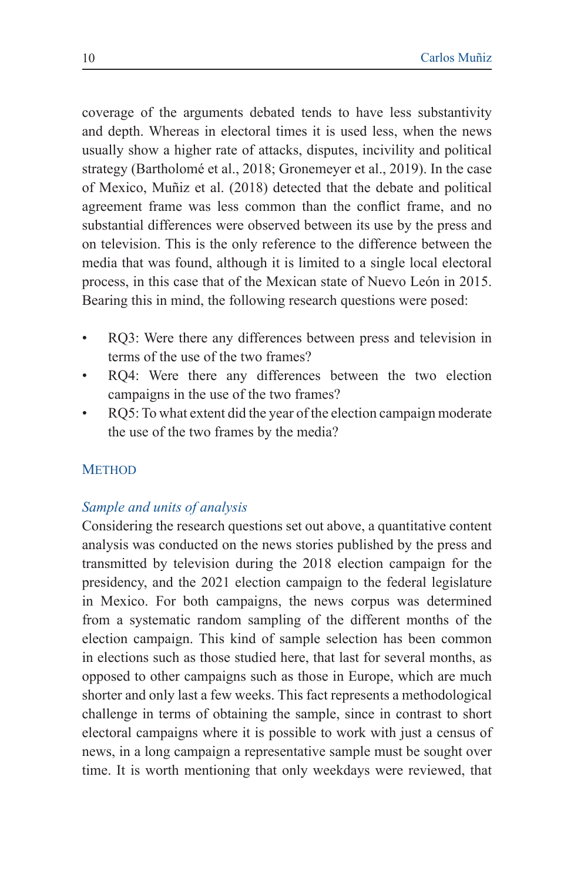coverage of the arguments debated tends to have less substantivity and depth. Whereas in electoral times it is used less, when the news usually show a higher rate of attacks, disputes, incivility and political strategy (Bartholomé et al., 2018; Gronemeyer et al., 2019). In the case of Mexico, Muñiz et al. (2018) detected that the debate and political agreement frame was less common than the conflict frame, and no substantial differences were observed between its use by the press and on television. This is the only reference to the difference between the media that was found, although it is limited to a single local electoral process, in this case that of the Mexican state of Nuevo León in 2015. Bearing this in mind, the following research questions were posed:

- RQ3: Were there any differences between press and television in terms of the use of the two frames?
- RQ4: Were there any differences between the two election campaigns in the use of the two frames?
- RQ5: To what extent did the year of the election campaign moderate the use of the two frames by the media?

#### **METHOD**

### *Sample and units of analysis*

Considering the research questions set out above, a quantitative content analysis was conducted on the news stories published by the press and transmitted by television during the 2018 election campaign for the presidency, and the 2021 election campaign to the federal legislature in Mexico. For both campaigns, the news corpus was determined from a systematic random sampling of the different months of the election campaign. This kind of sample selection has been common in elections such as those studied here, that last for several months, as opposed to other campaigns such as those in Europe, which are much shorter and only last a few weeks. This fact represents a methodological challenge in terms of obtaining the sample, since in contrast to short electoral campaigns where it is possible to work with just a census of news, in a long campaign a representative sample must be sought over time. It is worth mentioning that only weekdays were reviewed, that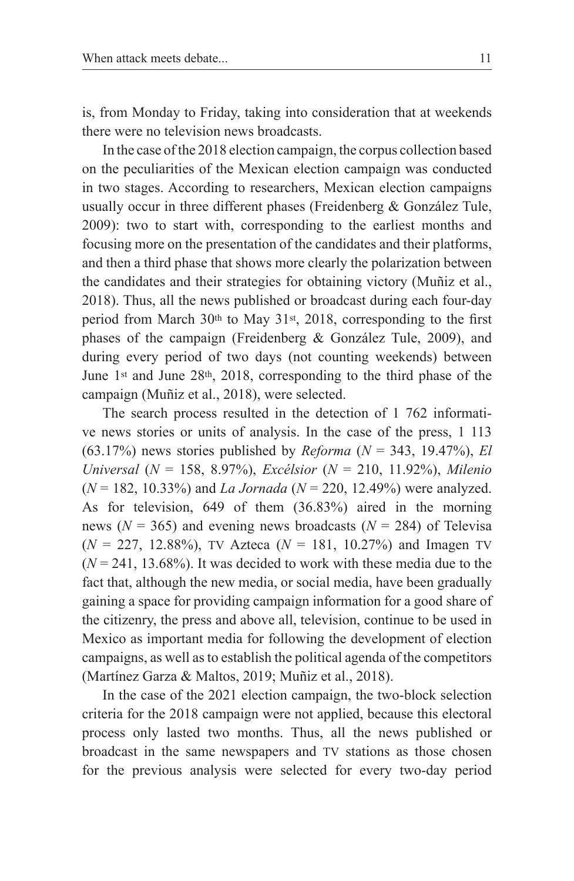is, from Monday to Friday, taking into consideration that at weekends there were no television news broadcasts.

In the case of the 2018 election campaign, the corpus collection based on the peculiarities of the Mexican election campaign was conducted in two stages. According to researchers, Mexican election campaigns usually occur in three different phases (Freidenberg & González Tule, 2009): two to start with, corresponding to the earliest months and focusing more on the presentation of the candidates and their platforms, and then a third phase that shows more clearly the polarization between the candidates and their strategies for obtaining victory (Muñiz et al., 2018). Thus, all the news published or broadcast during each four-day period from March 30th to May 31st, 2018, corresponding to the first phases of the campaign (Freidenberg & González Tule, 2009), and during every period of two days (not counting weekends) between June 1st and June 28th, 2018, corresponding to the third phase of the campaign (Muñiz et al., 2018), were selected.

The search process resulted in the detection of 1 762 informative news stories or units of analysis. In the case of the press, 1 113 (63.17%) news stories published by *Reforma* (*N* = 343, 19.47%), *El Universal* (*N* = 158, 8.97%), *Excélsior* (*N* = 210, 11.92%), *Milenio* (*N* = 182, 10.33%) and *La Jornada* (*N* = 220, 12.49%) were analyzed. As for television, 649 of them (36.83%) aired in the morning news ( $N = 365$ ) and evening news broadcasts ( $N = 284$ ) of Televisa  $(N = 227, 12.88\%)$ , TV Azteca  $(N = 181, 10.27\%)$  and Imagen TV  $(N = 241, 13.68\%)$ . It was decided to work with these media due to the fact that, although the new media, or social media, have been gradually gaining a space for providing campaign information for a good share of the citizenry, the press and above all, television, continue to be used in Mexico as important media for following the development of election campaigns, as well as to establish the political agenda of the competitors (Martínez Garza & Maltos, 2019; Muñiz et al., 2018).

In the case of the 2021 election campaign, the two-block selection criteria for the 2018 campaign were not applied, because this electoral process only lasted two months. Thus, all the news published or broadcast in the same newspapers and tv stations as those chosen for the previous analysis were selected for every two-day period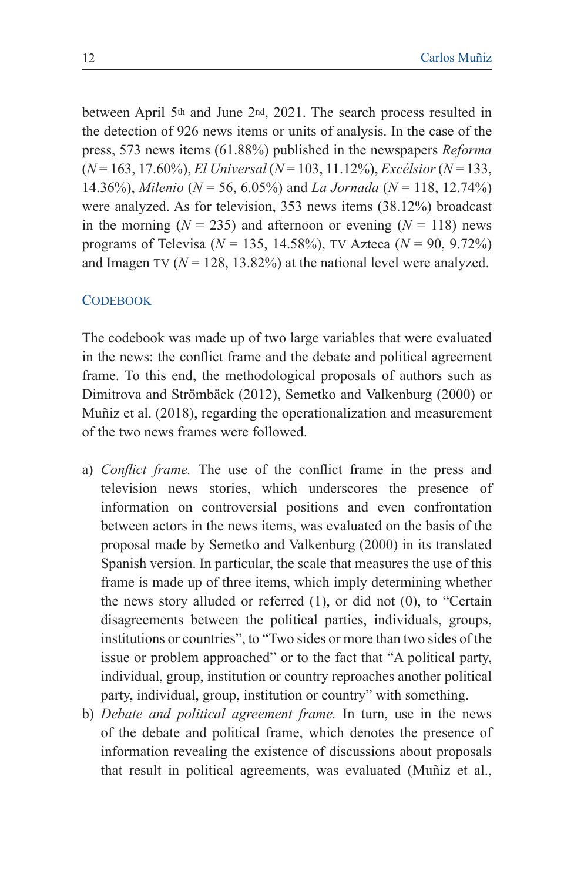between April 5th and June 2nd, 2021. The search process resulted in the detection of 926 news items or units of analysis. In the case of the press, 573 news items (61.88%) published in the newspapers *Reforma* (*N* = 163, 17.60%), *El Universal* (*N* = 103, 11.12%), *Excélsior* (*N* = 133, 14.36%), *Milenio* (*N* = 56, 6.05%) and *La Jornada* (*N* = 118, 12.74%) were analyzed. As for television, 353 news items (38.12%) broadcast in the morning ( $N = 235$ ) and afternoon or evening ( $N = 118$ ) news programs of Televisa (*N* = 135, 14.58%), tv Azteca (*N* = 90, 9.72%) and Imagen TV  $(N = 128, 13.82\%)$  at the national level were analyzed.

#### **CODEBOOK**

The codebook was made up of two large variables that were evaluated in the news: the conflict frame and the debate and political agreement frame. To this end, the methodological proposals of authors such as Dimitrova and Strömbäck (2012), Semetko and Valkenburg (2000) or Muñiz et al. (2018), regarding the operationalization and measurement of the two news frames were followed.

- a) *Conflict frame.* The use of the conflict frame in the press and television news stories, which underscores the presence of information on controversial positions and even confrontation between actors in the news items, was evaluated on the basis of the proposal made by Semetko and Valkenburg (2000) in its translated Spanish version. In particular, the scale that measures the use of this frame is made up of three items, which imply determining whether the news story alluded or referred (1), or did not (0), to "Certain disagreements between the political parties, individuals, groups, institutions or countries", to "Two sides or more than two sides of the issue or problem approached" or to the fact that "A political party, individual, group, institution or country reproaches another political party, individual, group, institution or country" with something.
- b) *Debate and political agreement frame.* In turn, use in the news of the debate and political frame, which denotes the presence of information revealing the existence of discussions about proposals that result in political agreements, was evaluated (Muñiz et al.,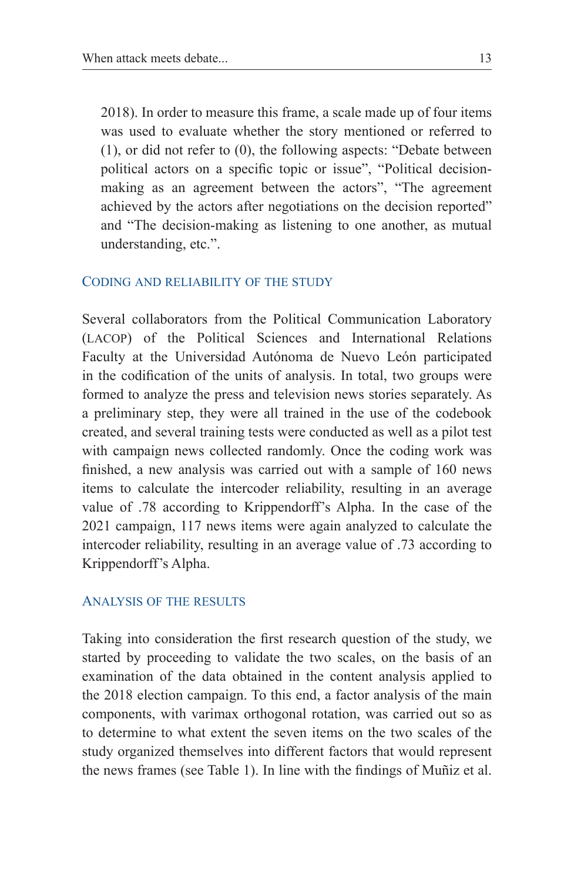2018). In order to measure this frame, a scale made up of four items was used to evaluate whether the story mentioned or referred to (1), or did not refer to (0), the following aspects: "Debate between political actors on a specific topic or issue", "Political decisionmaking as an agreement between the actors", "The agreement achieved by the actors after negotiations on the decision reported" and "The decision-making as listening to one another, as mutual understanding, etc.".

#### Coding and reliability of the study

Several collaborators from the Political Communication Laboratory (lacop) of the Political Sciences and International Relations Faculty at the Universidad Autónoma de Nuevo León participated in the codification of the units of analysis. In total, two groups were formed to analyze the press and television news stories separately. As a preliminary step, they were all trained in the use of the codebook created, and several training tests were conducted as well as a pilot test with campaign news collected randomly. Once the coding work was finished, a new analysis was carried out with a sample of 160 news items to calculate the intercoder reliability, resulting in an average value of .78 according to Krippendorff's Alpha. In the case of the 2021 campaign, 117 news items were again analyzed to calculate the intercoder reliability, resulting in an average value of .73 according to Krippendorff's Alpha.

#### Analysis of the results

Taking into consideration the first research question of the study, we started by proceeding to validate the two scales, on the basis of an examination of the data obtained in the content analysis applied to the 2018 election campaign. To this end, a factor analysis of the main components, with varimax orthogonal rotation, was carried out so as to determine to what extent the seven items on the two scales of the study organized themselves into different factors that would represent the news frames (see Table 1). In line with the findings of Muñiz et al.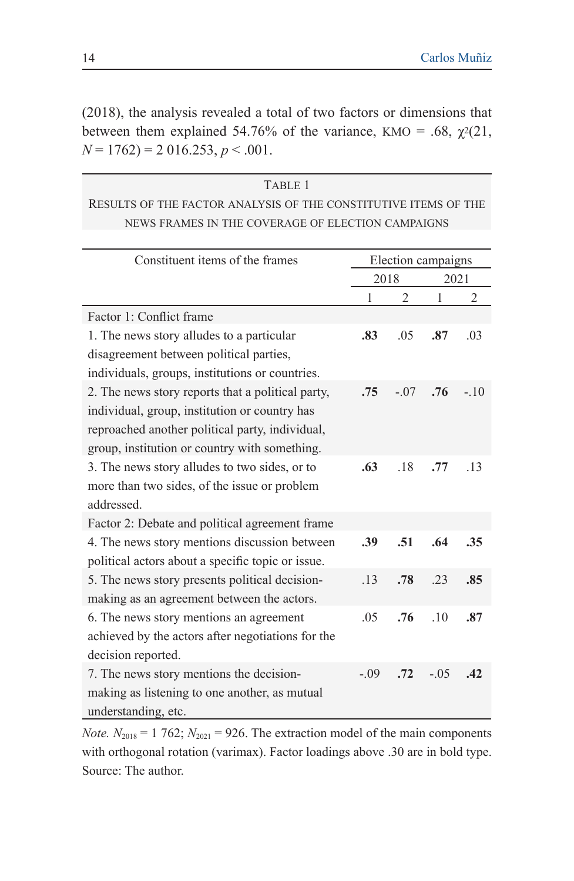(2018), the analysis revealed a total of two factors or dimensions that between them explained 54.76% of the variance, KMO = .68,  $\chi^2(21)$ ,  $N = 1762$ ) = 2 016.253, *p* < .001.

| TABLE 1                                                         |
|-----------------------------------------------------------------|
| RESULTS OF THE FACTOR ANALYSIS OF THE CONSTITUTIVE ITEMS OF THE |
| NEWS FRAMES IN THE COVERAGE OF ELECTION CAMPAIGNS               |

| Constituent items of the frames                   | Election campaigns |                |        |        |  |  |
|---------------------------------------------------|--------------------|----------------|--------|--------|--|--|
|                                                   | 2018               |                | 2021   |        |  |  |
|                                                   | 1                  | $\overline{2}$ | 1      | 2      |  |  |
| Factor 1: Conflict frame                          |                    |                |        |        |  |  |
| 1. The news story alludes to a particular         | .83                | .05            | .87    | .03    |  |  |
| disagreement between political parties,           |                    |                |        |        |  |  |
| individuals, groups, institutions or countries.   |                    |                |        |        |  |  |
| 2. The news story reports that a political party, | .75                | $-.07$         | .76    | $-.10$ |  |  |
| individual, group, institution or country has     |                    |                |        |        |  |  |
| reproached another political party, individual,   |                    |                |        |        |  |  |
| group, institution or country with something.     |                    |                |        |        |  |  |
| 3. The news story alludes to two sides, or to     | .63                | .18            | .77    | .13    |  |  |
| more than two sides, of the issue or problem      |                    |                |        |        |  |  |
| addressed.                                        |                    |                |        |        |  |  |
| Factor 2: Debate and political agreement frame    |                    |                |        |        |  |  |
| 4. The news story mentions discussion between     | .39                | .51            | .64    | .35    |  |  |
| political actors about a specific topic or issue. |                    |                |        |        |  |  |
| 5. The news story presents political decision-    | .13                | .78            | .23    | .85    |  |  |
| making as an agreement between the actors.        |                    |                |        |        |  |  |
| 6. The news story mentions an agreement           | .05                | .76            | .10    | .87    |  |  |
| achieved by the actors after negotiations for the |                    |                |        |        |  |  |
| decision reported.                                |                    |                |        |        |  |  |
| 7. The news story mentions the decision-          | $-0.09$            | .72            | $-.05$ | .42    |  |  |
| making as listening to one another, as mutual     |                    |                |        |        |  |  |
| understanding, etc.                               |                    |                |        |        |  |  |

*Note.*  $N_{2018} = 1762$ ;  $N_{2021} = 926$ . The extraction model of the main components with orthogonal rotation (varimax). Factor loadings above .30 are in bold type. Source: The author.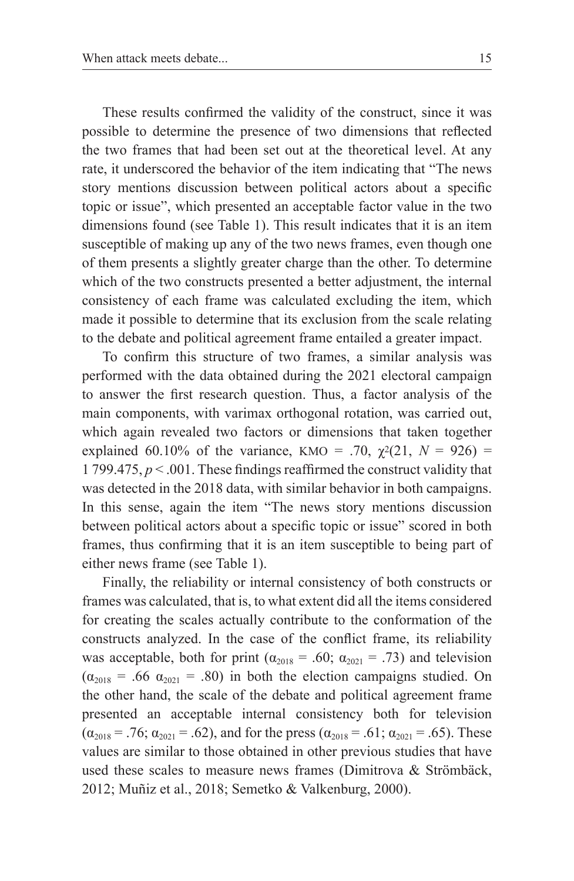These results confirmed the validity of the construct, since it was possible to determine the presence of two dimensions that reflected the two frames that had been set out at the theoretical level. At any rate, it underscored the behavior of the item indicating that "The news story mentions discussion between political actors about a specific topic or issue", which presented an acceptable factor value in the two dimensions found (see Table 1). This result indicates that it is an item susceptible of making up any of the two news frames, even though one of them presents a slightly greater charge than the other. To determine which of the two constructs presented a better adjustment, the internal consistency of each frame was calculated excluding the item, which made it possible to determine that its exclusion from the scale relating to the debate and political agreement frame entailed a greater impact.

To confirm this structure of two frames, a similar analysis was performed with the data obtained during the 2021 electoral campaign to answer the first research question. Thus, a factor analysis of the main components, with varimax orthogonal rotation, was carried out, which again revealed two factors or dimensions that taken together explained 60.10% of the variance, KMO = .70,  $\chi^2(21, N = 926)$  = 1 799.475, *p* < .001. These findings reaffirmed the construct validity that was detected in the 2018 data, with similar behavior in both campaigns. In this sense, again the item "The news story mentions discussion between political actors about a specific topic or issue" scored in both frames, thus confirming that it is an item susceptible to being part of either news frame (see Table 1).

Finally, the reliability or internal consistency of both constructs or frames was calculated, that is, to what extent did all the items considered for creating the scales actually contribute to the conformation of the constructs analyzed. In the case of the conflict frame, its reliability was acceptable, both for print ( $\alpha_{2018} = .60$ ;  $\alpha_{2021} = .73$ ) and television  $(\alpha_{2018} = .66 \ \alpha_{2021} = .80)$  in both the election campaigns studied. On the other hand, the scale of the debate and political agreement frame presented an acceptable internal consistency both for television  $(\alpha_{2018} = .76; \alpha_{2021} = .62)$ , and for the press  $(\alpha_{2018} = .61; \alpha_{2021} = .65)$ . These values are similar to those obtained in other previous studies that have used these scales to measure news frames (Dimitrova & Strömbäck, 2012; Muñiz et al., 2018; Semetko & Valkenburg, 2000).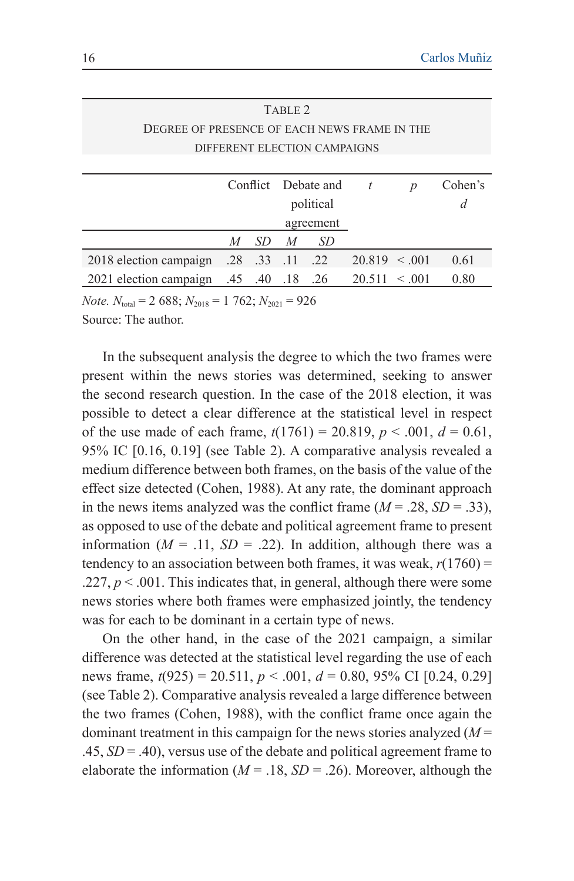| TABLE <sub>2</sub>                           |   |                   |                |                     |                    |   |         |  |
|----------------------------------------------|---|-------------------|----------------|---------------------|--------------------|---|---------|--|
| DEGREE OF PRESENCE OF EACH NEWS FRAME IN THE |   |                   |                |                     |                    |   |         |  |
| DIFFERENT ELECTION CAMPAIGNS                 |   |                   |                |                     |                    |   |         |  |
|                                              |   |                   |                |                     |                    |   |         |  |
|                                              |   |                   |                | Conflict Debate and | $\boldsymbol{t}$   | D | Cohen's |  |
|                                              |   |                   | political      |                     |                    |   | d       |  |
|                                              |   |                   |                | agreement           |                    |   |         |  |
|                                              | M | SD.               | $\overline{M}$ | SD                  |                    |   |         |  |
| 2018 election campaign                       |   | $.28$ $.33$ $.11$ |                | .22                 | $20.819 \le 0.001$ |   | 0.61    |  |
| 2021 election campaign .45 .40               |   |                   | .18            | .26                 | $20.511 \le 0.001$ |   | 0.80    |  |
|                                              |   |                   |                |                     |                    |   |         |  |

*Note.*  $N_{\text{total}} = 2688$ ;  $N_{\text{2018}} = 1762$ ;  $N_{\text{2021}} = 926$ 

Source: The author.

In the subsequent analysis the degree to which the two frames were present within the news stories was determined, seeking to answer the second research question. In the case of the 2018 election, it was possible to detect a clear difference at the statistical level in respect of the use made of each frame,  $t(1761) = 20.819$ ,  $p < .001$ ,  $d = 0.61$ , 95% IC [0.16, 0.19] (see Table 2). A comparative analysis revealed a medium difference between both frames, on the basis of the value of the effect size detected (Cohen, 1988). At any rate, the dominant approach in the news items analyzed was the conflict frame  $(M = .28, SD = .33)$ , as opposed to use of the debate and political agreement frame to present information  $(M = .11, SD = .22)$ . In addition, although there was a tendency to an association between both frames, it was weak,  $r(1760) =$  $.227, p \leq .001$ . This indicates that, in general, although there were some news stories where both frames were emphasized jointly, the tendency was for each to be dominant in a certain type of news.

On the other hand, in the case of the 2021 campaign, a similar difference was detected at the statistical level regarding the use of each news frame, *t*(925) = 20.511, *p* < .001, *d* = 0.80, 95% CI [0.24, 0.29] (see Table 2). Comparative analysis revealed a large difference between the two frames (Cohen, 1988), with the conflict frame once again the dominant treatment in this campaign for the news stories analyzed (*M* = .45, *SD* = .40), versus use of the debate and political agreement frame to elaborate the information ( $M = .18$ ,  $SD = .26$ ). Moreover, although the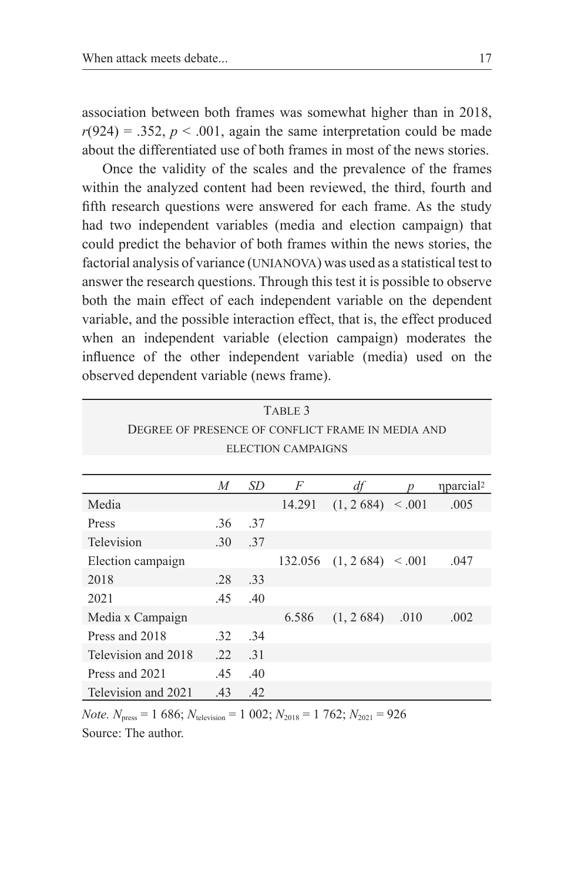association between both frames was somewhat higher than in 2018,  $r(924) = 0.352$ ,  $p < 0.001$ , again the same interpretation could be made about the differentiated use of both frames in most of the news stories.

Once the validity of the scales and the prevalence of the frames within the analyzed content had been reviewed, the third, fourth and fifth research questions were answered for each frame. As the study had two independent variables (media and election campaign) that could predict the behavior of both frames within the news stories, the factorial analysis of variance (UNIANOVA) was used as a statistical test to answer the research questions. Through this test it is possible to observe both the main effect of each independent variable on the dependent variable, and the possible interaction effect, that is, the effect produced when an independent variable (election campaign) moderates the influence of the other independent variable (media) used on the observed dependent variable (news frame).

| TABLE 3                                           |     |            |         |                    |      |                             |  |  |  |  |
|---------------------------------------------------|-----|------------|---------|--------------------|------|-----------------------------|--|--|--|--|
| DEGREE OF PRESENCE OF CONFLICT FRAME IN MEDIA AND |     |            |         |                    |      |                             |  |  |  |  |
| <b>ELECTION CAMPAIGNS</b>                         |     |            |         |                    |      |                             |  |  |  |  |
|                                                   |     |            |         |                    |      |                             |  |  |  |  |
|                                                   | M   | SD         | F       | df                 |      | <i>nparcial<sup>2</sup></i> |  |  |  |  |
| Media                                             |     |            | 14.291  | $(1, 2684)$ < .001 |      | .005                        |  |  |  |  |
| Press                                             | .36 | -37        |         |                    |      |                             |  |  |  |  |
| Television                                        | .30 | .37        |         |                    |      |                             |  |  |  |  |
| Election campaign                                 |     |            | 132.056 | $(1, 2684)$ < 0.01 |      | .047                        |  |  |  |  |
| 2018                                              | .28 | -33        |         |                    |      |                             |  |  |  |  |
| 2021                                              | .45 | .40        |         |                    |      |                             |  |  |  |  |
| Media x Campaign                                  |     |            | 6.586   | (1, 2, 684)        | .010 | .002                        |  |  |  |  |
| Press and 2018                                    | .32 | 34         |         |                    |      |                             |  |  |  |  |
| Television and 2018                               | .22 | $\cdot$ 31 |         |                    |      |                             |  |  |  |  |
| Press and 2021                                    | .45 | .40        |         |                    |      |                             |  |  |  |  |
| Television and 2021                               | .43 | .42        |         |                    |      |                             |  |  |  |  |

*Note.*  $N_{\text{press}} = 1\,686$ ;  $N_{\text{telexision}} = 1\,002$ ;  $N_{\text{2018}} = 1\,762$ ;  $N_{\text{2021}} = 926$ Source: The author.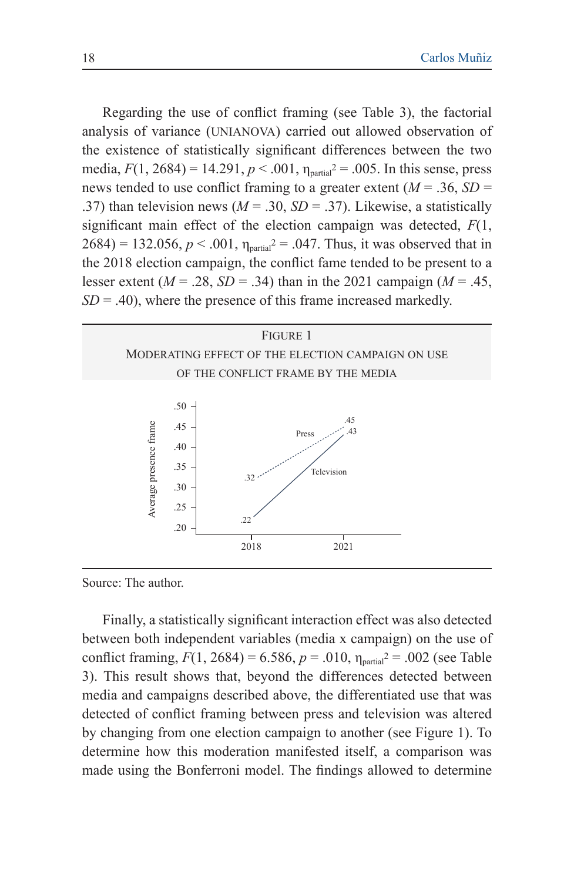Regarding the use of conflict framing (see Table 3), the factorial analysis of variance (unianova) carried out allowed observation of the existence of statistically significant differences between the two media,  $F(1, 2684) = 14.291$ ,  $p < .001$ ,  $\eta_{\text{partial}}^2 = .005$ . In this sense, press news tended to use conflict framing to a greater extent  $(M = .36, SD =$ .37) than television news ( $M = .30$ ,  $SD = .37$ ). Likewise, a statistically significant main effect of the election campaign was detected, *F*(1,  $2684$ ) = 132.056,  $p < .001$ ,  $\eta_{\text{partial}}^2$  = .047. Thus, it was observed that in the 2018 election campaign, the conflict fame tended to be present to a lesser extent ( $M = .28$ ,  $SD = .34$ ) than in the 2021 campaign ( $M = .45$ ,  $SD = .40$ , where the presence of this frame increased markedly.



Source: The author.

Finally, a statistically significant interaction effect was also detected between both independent variables (media x campaign) on the use of conflict framing,  $F(1, 2684) = 6.586$ ,  $p = .010$ ,  $\eta_{\text{partial}}^2 = .002$  (see Table 3). This result shows that, beyond the differences detected between media and campaigns described above, the differentiated use that was detected of conflict framing between press and television was altered by changing from one election campaign to another (see Figure 1). To determine how this moderation manifested itself, a comparison was made using the Bonferroni model. The findings allowed to determine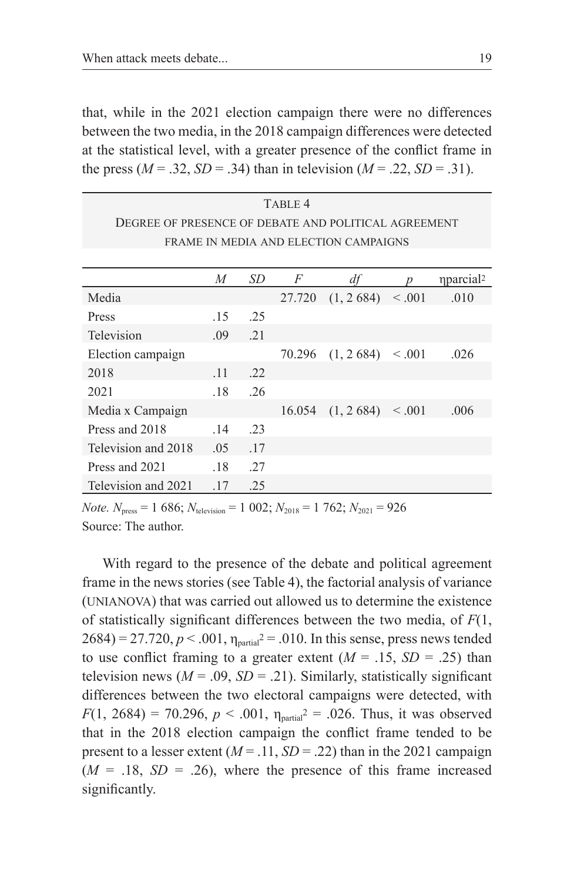that, while in the 2021 election campaign there were no differences between the two media, in the 2018 campaign differences were detected at the statistical level, with a greater presence of the conflict frame in the press ( $M = .32$ ,  $SD = .34$ ) than in television ( $M = .22$ ,  $SD = .31$ ).

| TABLE 4<br>DEGREE OF PRESENCE OF DEBATE AND POLITICAL AGREEMENT |     |            |        |             |             |                             |  |  |  |
|-----------------------------------------------------------------|-----|------------|--------|-------------|-------------|-----------------------------|--|--|--|
| FRAME IN MEDIA AND ELECTION CAMPAIGNS                           |     |            |        |             |             |                             |  |  |  |
|                                                                 |     |            |        |             |             |                             |  |  |  |
|                                                                 | M   | SD         | F      | df          |             | <i>nparcial<sup>2</sup></i> |  |  |  |
| Media                                                           |     |            | 27.720 | (1, 2, 684) | $\leq .001$ | .010                        |  |  |  |
| Press                                                           | .15 | .25        |        |             |             |                             |  |  |  |
| Television                                                      | .09 | $\cdot$ 21 |        |             |             |                             |  |  |  |
| Election campaign                                               |     |            | 70.296 | (1, 2, 684) | $\leq .001$ | .026                        |  |  |  |
| 2018                                                            | .11 | .22        |        |             |             |                             |  |  |  |
| 2021                                                            | .18 | .26        |        |             |             |                             |  |  |  |
| Media x Campaign                                                |     |            | 16.054 | (1, 2, 684) | < 0.001     | .006                        |  |  |  |
| Press and 2018                                                  | .14 | .23        |        |             |             |                             |  |  |  |
| Television and 2018                                             | .05 | .17        |        |             |             |                             |  |  |  |
| Press and 2021                                                  | .18 | .27        |        |             |             |                             |  |  |  |
| Television and 2021                                             | .17 | .25        |        |             |             |                             |  |  |  |

*Note.*  $N_{\text{press}} = 1\,686$ ;  $N_{\text{telexision}} = 1\,002$ ;  $N_{\text{2018}} = 1\,762$ ;  $N_{\text{2021}} = 926$ Source: The author.

With regard to the presence of the debate and political agreement frame in the news stories (see Table 4), the factorial analysis of variance (unianova) that was carried out allowed us to determine the existence of statistically significant differences between the two media, of *F*(1,  $2684$ ) = 27.720,  $p < .001$ ,  $\eta_{\text{partial}}^2$  = .010. In this sense, press news tended to use conflict framing to a greater extent  $(M = .15, SD = .25)$  than television news  $(M = .09, SD = .21)$ . Similarly, statistically significant differences between the two electoral campaigns were detected, with  $F(1, 2684) = 70.296$ ,  $p < .001$ ,  $\eta_{\text{partial}}^2 = .026$ . Thus, it was observed that in the 2018 election campaign the conflict frame tended to be present to a lesser extent  $(M = .11, SD = .22)$  than in the 2021 campaign  $(M = .18, SD = .26)$ , where the presence of this frame increased significantly.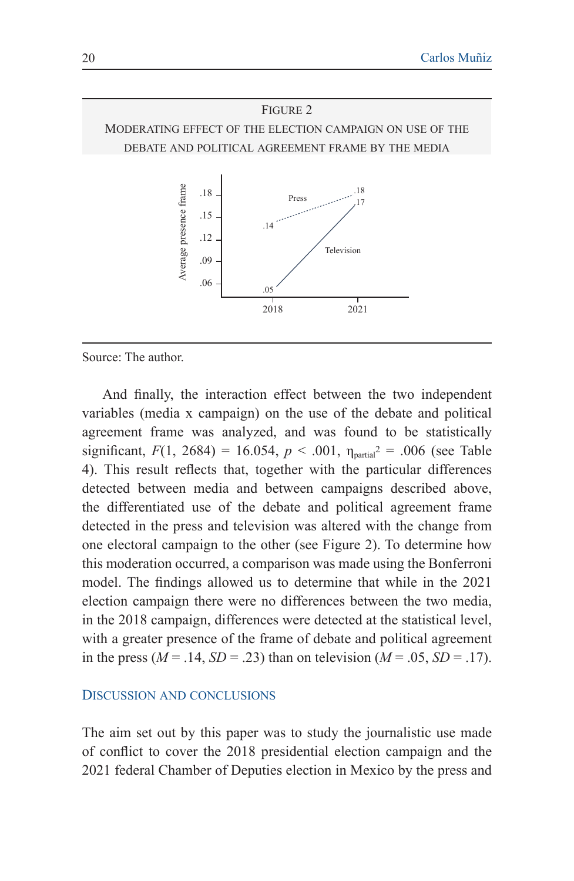#### Figure 2

Moderating effect of the election campaign on use of the debate and political agreement frame by the media



Source: The author.

And finally, the interaction effect between the two independent variables (media x campaign) on the use of the debate and political agreement frame was analyzed, and was found to be statistically significant,  $F(1, 2684) = 16.054$ ,  $p < .001$ ,  $\eta_{\text{partial}}^2 = .006$  (see Table 4). This result reflects that, together with the particular differences detected between media and between campaigns described above, the differentiated use of the debate and political agreement frame detected in the press and television was altered with the change from one electoral campaign to the other (see Figure 2). To determine how this moderation occurred, a comparison was made using the Bonferroni model. The findings allowed us to determine that while in the 2021 election campaign there were no differences between the two media, in the 2018 campaign, differences were detected at the statistical level, with a greater presence of the frame of debate and political agreement in the press ( $M = .14$ ,  $SD = .23$ ) than on television ( $M = .05$ ,  $SD = .17$ ).

#### Discussion and conclusions

The aim set out by this paper was to study the journalistic use made of conflict to cover the 2018 presidential election campaign and the 2021 federal Chamber of Deputies election in Mexico by the press and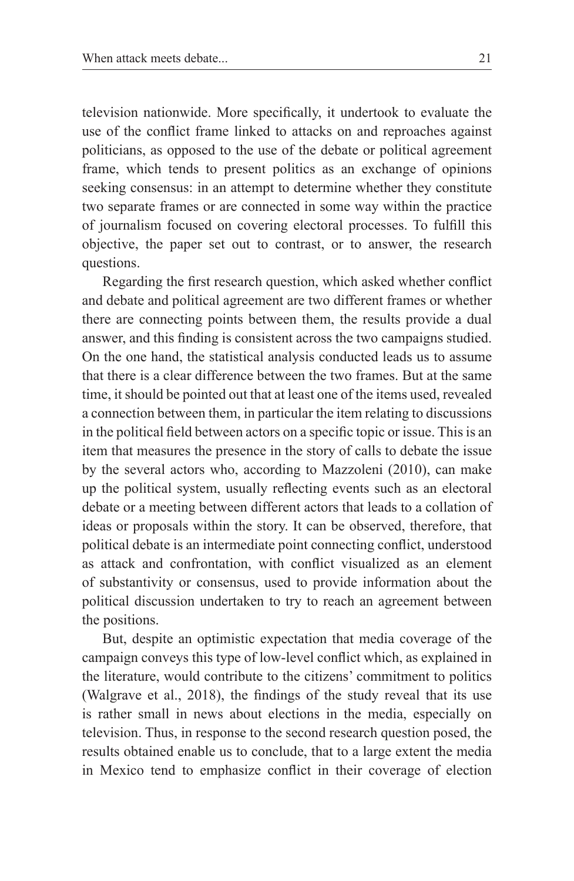television nationwide. More specifically, it undertook to evaluate the use of the conflict frame linked to attacks on and reproaches against politicians, as opposed to the use of the debate or political agreement frame, which tends to present politics as an exchange of opinions seeking consensus: in an attempt to determine whether they constitute two separate frames or are connected in some way within the practice of journalism focused on covering electoral processes. To fulfill this objective, the paper set out to contrast, or to answer, the research questions.

Regarding the first research question, which asked whether conflict and debate and political agreement are two different frames or whether there are connecting points between them, the results provide a dual answer, and this finding is consistent across the two campaigns studied. On the one hand, the statistical analysis conducted leads us to assume that there is a clear difference between the two frames. But at the same time, it should be pointed out that at least one of the items used, revealed a connection between them, in particular the item relating to discussions in the political field between actors on a specific topic or issue. This is an item that measures the presence in the story of calls to debate the issue by the several actors who, according to Mazzoleni (2010), can make up the political system, usually reflecting events such as an electoral debate or a meeting between different actors that leads to a collation of ideas or proposals within the story. It can be observed, therefore, that political debate is an intermediate point connecting conflict, understood as attack and confrontation, with conflict visualized as an element of substantivity or consensus, used to provide information about the political discussion undertaken to try to reach an agreement between the positions.

But, despite an optimistic expectation that media coverage of the campaign conveys this type of low-level conflict which, as explained in the literature, would contribute to the citizens' commitment to politics (Walgrave et al., 2018), the findings of the study reveal that its use is rather small in news about elections in the media, especially on television. Thus, in response to the second research question posed, the results obtained enable us to conclude, that to a large extent the media in Mexico tend to emphasize conflict in their coverage of election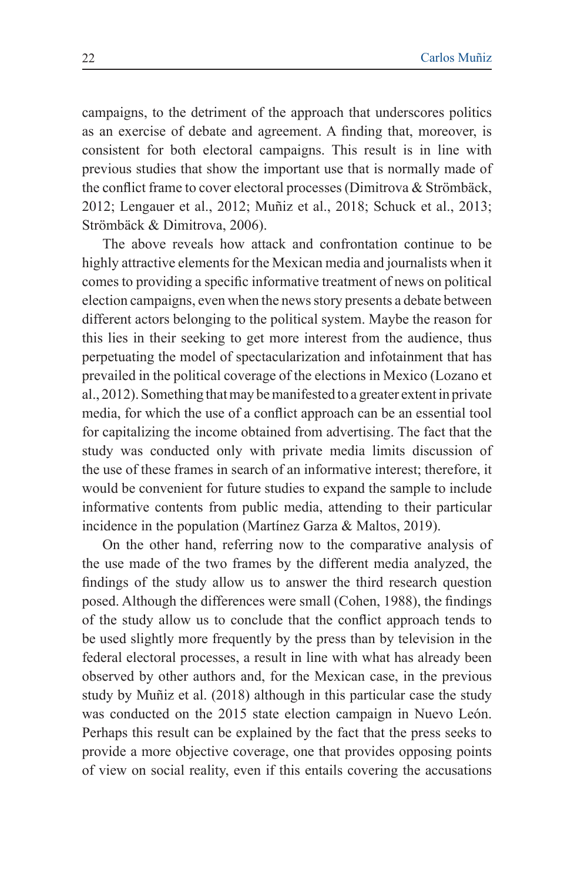campaigns, to the detriment of the approach that underscores politics as an exercise of debate and agreement. A finding that, moreover, is consistent for both electoral campaigns. This result is in line with previous studies that show the important use that is normally made of the conflict frame to cover electoral processes (Dimitrova & Strömbäck, 2012; Lengauer et al., 2012; Muñiz et al., 2018; Schuck et al., 2013; Strömbäck & Dimitrova, 2006).

The above reveals how attack and confrontation continue to be highly attractive elements for the Mexican media and journalists when it comes to providing a specific informative treatment of news on political election campaigns, even when the news story presents a debate between different actors belonging to the political system. Maybe the reason for this lies in their seeking to get more interest from the audience, thus perpetuating the model of spectacularization and infotainment that has prevailed in the political coverage of the elections in Mexico (Lozano et al., 2012). Something that may be manifested to a greater extent in private media, for which the use of a conflict approach can be an essential tool for capitalizing the income obtained from advertising. The fact that the study was conducted only with private media limits discussion of the use of these frames in search of an informative interest; therefore, it would be convenient for future studies to expand the sample to include informative contents from public media, attending to their particular incidence in the population (Martínez Garza & Maltos, 2019).

On the other hand, referring now to the comparative analysis of the use made of the two frames by the different media analyzed, the findings of the study allow us to answer the third research question posed. Although the differences were small (Cohen, 1988), the findings of the study allow us to conclude that the conflict approach tends to be used slightly more frequently by the press than by television in the federal electoral processes, a result in line with what has already been observed by other authors and, for the Mexican case, in the previous study by Muñiz et al. (2018) although in this particular case the study was conducted on the 2015 state election campaign in Nuevo León. Perhaps this result can be explained by the fact that the press seeks to provide a more objective coverage, one that provides opposing points of view on social reality, even if this entails covering the accusations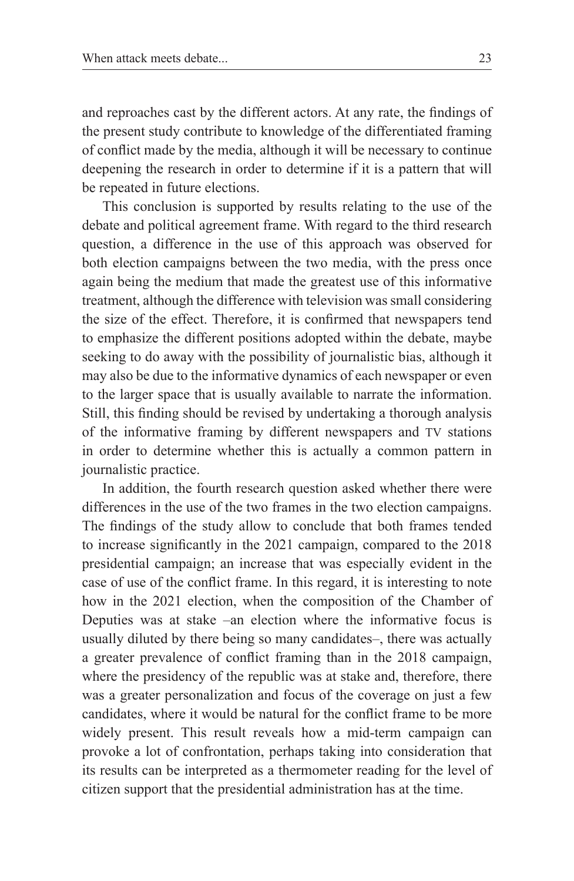and reproaches cast by the different actors. At any rate, the findings of the present study contribute to knowledge of the differentiated framing of conflict made by the media, although it will be necessary to continue deepening the research in order to determine if it is a pattern that will be repeated in future elections.

This conclusion is supported by results relating to the use of the debate and political agreement frame. With regard to the third research question, a difference in the use of this approach was observed for both election campaigns between the two media, with the press once again being the medium that made the greatest use of this informative treatment, although the difference with television was small considering the size of the effect. Therefore, it is confirmed that newspapers tend to emphasize the different positions adopted within the debate, maybe seeking to do away with the possibility of journalistic bias, although it may also be due to the informative dynamics of each newspaper or even to the larger space that is usually available to narrate the information. Still, this finding should be revised by undertaking a thorough analysis of the informative framing by different newspapers and tv stations in order to determine whether this is actually a common pattern in journalistic practice.

In addition, the fourth research question asked whether there were differences in the use of the two frames in the two election campaigns. The findings of the study allow to conclude that both frames tended to increase significantly in the 2021 campaign, compared to the 2018 presidential campaign; an increase that was especially evident in the case of use of the conflict frame. In this regard, it is interesting to note how in the 2021 election, when the composition of the Chamber of Deputies was at stake –an election where the informative focus is usually diluted by there being so many candidates—, there was actually a greater prevalence of conflict framing than in the 2018 campaign, where the presidency of the republic was at stake and, therefore, there was a greater personalization and focus of the coverage on just a few candidates, where it would be natural for the conflict frame to be more widely present. This result reveals how a mid-term campaign can provoke a lot of confrontation, perhaps taking into consideration that its results can be interpreted as a thermometer reading for the level of citizen support that the presidential administration has at the time.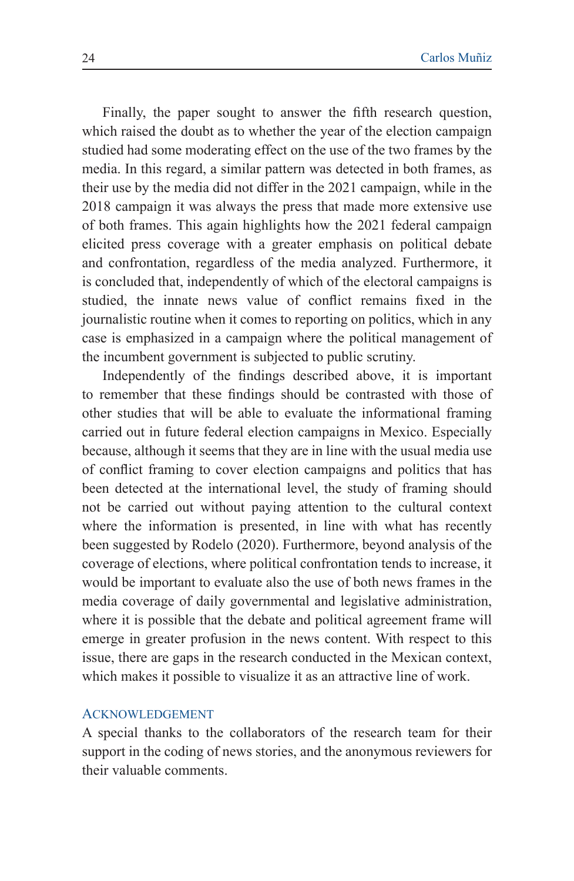Finally, the paper sought to answer the fifth research question, which raised the doubt as to whether the year of the election campaign studied had some moderating effect on the use of the two frames by the media. In this regard, a similar pattern was detected in both frames, as their use by the media did not differ in the 2021 campaign, while in the 2018 campaign it was always the press that made more extensive use of both frames. This again highlights how the 2021 federal campaign elicited press coverage with a greater emphasis on political debate and confrontation, regardless of the media analyzed. Furthermore, it is concluded that, independently of which of the electoral campaigns is studied, the innate news value of conflict remains fixed in the journalistic routine when it comes to reporting on politics, which in any case is emphasized in a campaign where the political management of the incumbent government is subjected to public scrutiny.

Independently of the findings described above, it is important to remember that these findings should be contrasted with those of other studies that will be able to evaluate the informational framing carried out in future federal election campaigns in Mexico. Especially because, although it seems that they are in line with the usual media use of conflict framing to cover election campaigns and politics that has been detected at the international level, the study of framing should not be carried out without paying attention to the cultural context where the information is presented, in line with what has recently been suggested by Rodelo (2020). Furthermore, beyond analysis of the coverage of elections, where political confrontation tends to increase, it would be important to evaluate also the use of both news frames in the media coverage of daily governmental and legislative administration, where it is possible that the debate and political agreement frame will emerge in greater profusion in the news content. With respect to this issue, there are gaps in the research conducted in the Mexican context, which makes it possible to visualize it as an attractive line of work.

#### **ACKNOWLEDGEMENT**

A special thanks to the collaborators of the research team for their support in the coding of news stories, and the anonymous reviewers for their valuable comments.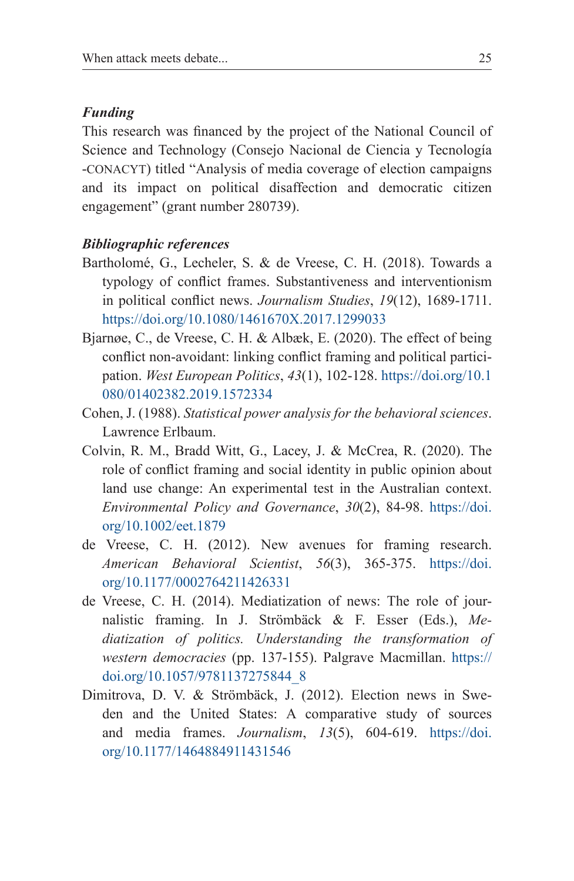#### *Funding*

This research was financed by the project of the National Council of Science and Technology (Consejo Nacional de Ciencia y Tecnología -conacyt) titled "Analysis of media coverage of election campaigns and its impact on political disaffection and democratic citizen engagement" (grant number 280739).

#### *Bibliographic references*

- Bartholomé, G., Lecheler, S. & de Vreese, C. H. (2018). Towards a typology of conflict frames. Substantiveness and interventionism in political conflict news. *Journalism Studies*, *19*(12), 1689-1711. https://doi.org/10.1080/1461670X.2017.1299033
- Bjarnøe, C., de Vreese, C. H. & Albæk, E. (2020). The effect of being conflict non-avoidant: linking conflict framing and political participation. *West European Politics*, *43*(1), 102-128. https://doi.org/10.1 080/01402382.2019.1572334
- Cohen, J. (1988). *Statistical power analysis for the behavioral sciences*. Lawrence Erlbaum.
- Colvin, R. M., Bradd Witt, G., Lacey, J. & McCrea, R. (2020). The role of conflict framing and social identity in public opinion about land use change: An experimental test in the Australian context. *Environmental Policy and Governance*, *30*(2), 84-98. https://doi. org/10.1002/eet.1879
- de Vreese, C. H. (2012). New avenues for framing research. *American Behavioral Scientist*, *56*(3), 365-375. https://doi. org/10.1177/0002764211426331
- de Vreese, C. H. (2014). Mediatization of news: The role of journalistic framing. In J. Strömbäck & F. Esser (Eds.), *Mediatization of politics. Understanding the transformation of western democracies* (pp. 137-155). Palgrave Macmillan. https:// doi.org/10.1057/9781137275844\_8
- Dimitrova, D. V. & Strömbäck, J. (2012). Election news in Sweden and the United States: A comparative study of sources and media frames. *Journalism*, *13*(5), 604-619. https://doi. org/10.1177/1464884911431546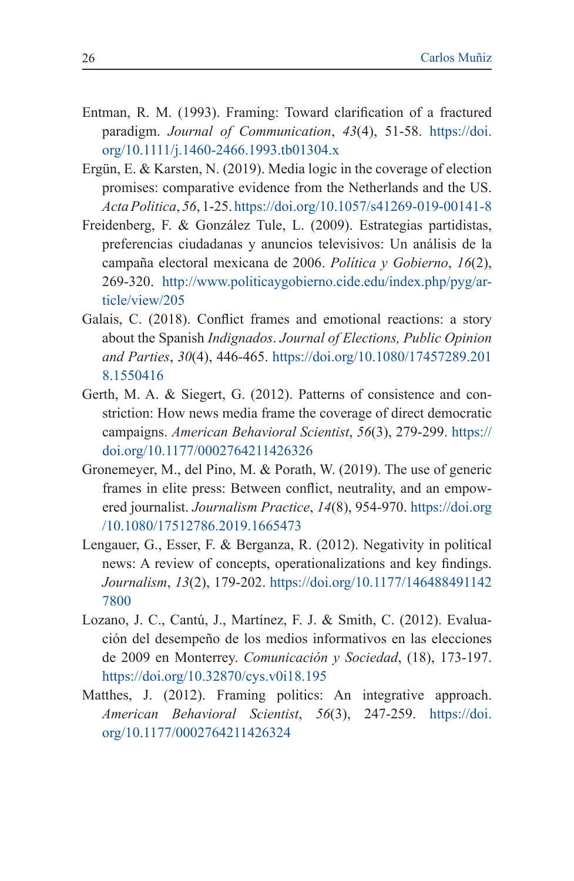- Entman, R. M. (1993). Framing: Toward clarification of a fractured paradigm. *Journal of Communication*, *43*(4), 51-58. https://doi. org/10.1111/j.1460-2466.1993.tb01304.x
- Ergün, E. & Karsten, N. (2019). Media logic in the coverage of election promises: comparative evidence from the Netherlands and the US. *Acta Politica*, *56*, 1-25. https://doi.org/10.1057/s41269-019-00141-8
- Freidenberg, F. & González Tule, L. (2009). Estrategias partidistas, preferencias ciudadanas y anuncios televisivos: Un análisis de la campaña electoral mexicana de 2006. *Política y Gobierno*, *16*(2), 269-320. http://www.politicaygobierno.cide.edu/index.php/pyg/article/view/205
- Galais, C. (2018). Conflict frames and emotional reactions: a story about the Spanish *Indignados*. *Journal of Elections, Public Opinion and Parties*, *30*(4), 446-465. https://doi.org/10.1080/17457289.201 8.1550416
- Gerth, M. A. & Siegert, G. (2012). Patterns of consistence and constriction: How news media frame the coverage of direct democratic campaigns. *American Behavioral Scientist*, *56*(3), 279-299. https:// doi.org/10.1177/0002764211426326
- Gronemeyer, M., del Pino, M. & Porath, W. (2019). The use of generic frames in elite press: Between conflict, neutrality, and an empowered journalist. *Journalism Practice*, *14*(8), 954-970. https://doi.org /10.1080/17512786.2019.1665473
- Lengauer, G., Esser, F. & Berganza, R. (2012). Negativity in political news: A review of concepts, operationalizations and key findings. *Journalism*, *13*(2), 179-202. https://doi.org/10.1177/146488491142 7800
- Lozano, J. C., Cantú, J., Martínez, F. J. & Smith, C. (2012). Evaluación del desempeño de los medios informativos en las elecciones de 2009 en Monterrey. *Comunicación y Sociedad*, (18), 173-197. https://doi.org/10.32870/cys.v0i18.195
- Matthes, J. (2012). Framing politics: An integrative approach. *American Behavioral Scientist*, *56*(3), 247-259. https://doi. org/10.1177/0002764211426324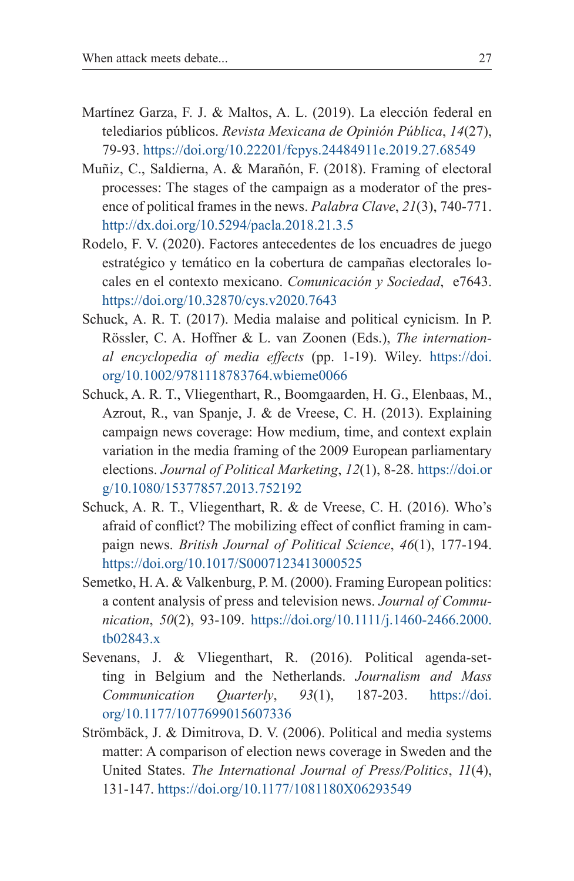- Martínez Garza, F. J. & Maltos, A. L. (2019). La elección federal en telediarios públicos. *Revista Mexicana de Opinión Pública*, *14*(27), 79-93. https://doi.org/10.22201/fcpys.24484911e.2019.27.68549
- Muñiz, C., Saldierna, A. & Marañón, F. (2018). Framing of electoral processes: The stages of the campaign as a moderator of the presence of political frames in the news. *Palabra Clave*, *21*(3), 740-771. http://dx.doi.org/10.5294/pacla.2018.21.3.5
- Rodelo, F. V. (2020). Factores antecedentes de los encuadres de juego estratégico y temático en la cobertura de campañas electorales locales en el contexto mexicano. *Comunicación y Sociedad*, e7643. https://doi.org/10.32870/cys.v2020.7643
- Schuck, A. R. T. (2017). Media malaise and political cynicism. In P. Rössler, C. A. Hoffner & L. van Zoonen (Eds.), *The international encyclopedia of media effects* (pp. 1-19). Wiley. https://doi. org/10.1002/9781118783764.wbieme0066
- Schuck, A. R. T., Vliegenthart, R., Boomgaarden, H. G., Elenbaas, M., Azrout, R., van Spanje, J. & de Vreese, C. H. (2013). Explaining campaign news coverage: How medium, time, and context explain variation in the media framing of the 2009 European parliamentary elections. *Journal of Political Marketing*, *12*(1), 8-28. https://doi.or g/10.1080/15377857.2013.752192
- Schuck, A. R. T., Vliegenthart, R. & de Vreese, C. H. (2016). Who's afraid of conflict? The mobilizing effect of conflict framing in campaign news. *British Journal of Political Science*, *46*(1), 177-194. https://doi.org/10.1017/S0007123413000525
- Semetko, H. A. & Valkenburg, P. M. (2000). Framing European politics: a content analysis of press and television news. *Journal of Communication*, *50*(2), 93-109. https://doi.org/10.1111/j.1460-2466.2000. tb02843.x
- Sevenans, J. & Vliegenthart, R. (2016). Political agenda-setting in Belgium and the Netherlands. *Journalism and Mass Communication Quarterly*, *93*(1), 187-203. https://doi. org/10.1177/1077699015607336
- Strömbäck, J. & Dimitrova, D. V. (2006). Political and media systems matter: A comparison of election news coverage in Sweden and the United States. *The International Journal of Press/Politics*, *11*(4), 131-147. https://doi.org/10.1177/1081180X06293549